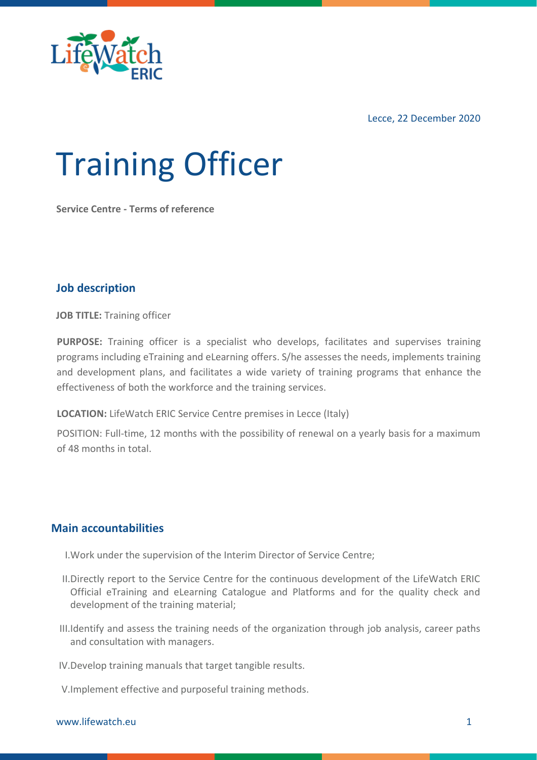

Lecce, 22 December 2020

# Training Officer

**Service Centre - Terms of reference**

# **Job description**

**JOB TITLE:** Training officer

**PURPOSE:** Training officer is a specialist who develops, facilitates and supervises training programs including eTraining and eLearning offers. S/he assesses the needs, implements training and development plans, and facilitates a wide variety of training programs that enhance the effectiveness of both the workforce and the training services.

**LOCATION:** LifeWatch ERIC Service Centre premises in Lecce (Italy)

POSITION: Full-time, 12 months with the possibility of renewal on a yearly basis for a maximum of 48 months in total.

### **Main accountabilities**

- I.Work under the supervision of the Interim Director of Service Centre;
- II.Directly report to the Service Centre for the continuous development of the LifeWatch ERIC Official eTraining and eLearning Catalogue and Platforms and for the quality check and development of the training material;
- III.Identify and assess the training needs of the organization through job analysis, career paths and consultation with managers.

IV.Develop training manuals that target tangible results.

V.Implement effective and purposeful training methods.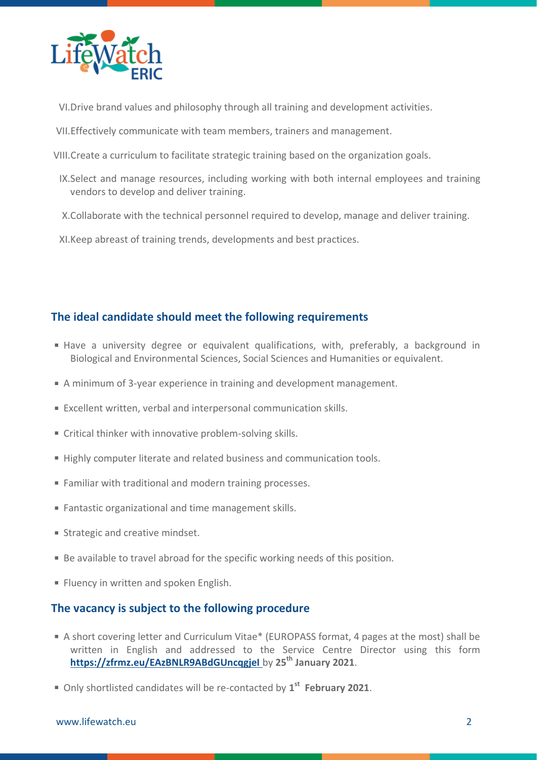

- VI.Drive brand values and philosophy through all training and development activities.
- VII.Effectively communicate with team members, trainers and management.
- VIII.Create a curriculum to facilitate strategic training based on the organization goals.
- IX.Select and manage resources, including working with both internal employees and training vendors to develop and deliver training.
- X.Collaborate with the technical personnel required to develop, manage and deliver training.
- XI.Keep abreast of training trends, developments and best practices.

# **The ideal candidate should meet the following requirements**

- Have a university degree or equivalent qualifications, with, preferably, a background in Biological and Environmental Sciences, Social Sciences and Humanities or equivalent.
- A minimum of 3-year experience in training and development management.
- Excellent written, verbal and interpersonal communication skills.
- Critical thinker with innovative problem-solving skills.
- Highly computer literate and related business and communication tools.
- Familiar with traditional and modern training processes.
- Fantastic organizational and time management skills.
- **Strategic and creative mindset.**
- Be available to travel abroad for the specific working needs of this position.
- **Fluency in written and spoken English.**

### **The vacancy is subject to the following procedure**

- A short covering letter and Curriculum Vitae\* (EUROPASS format, 4 pages at the most) shall be written in English and addressed to the Service Centre Director using this form **<https://zfrmz.eu/EAzBNLR9ABdGUncqgjeI>** by **25th January 2021**.
- Only shortlisted candidates will be re-contacted by **1 st February 2021**.